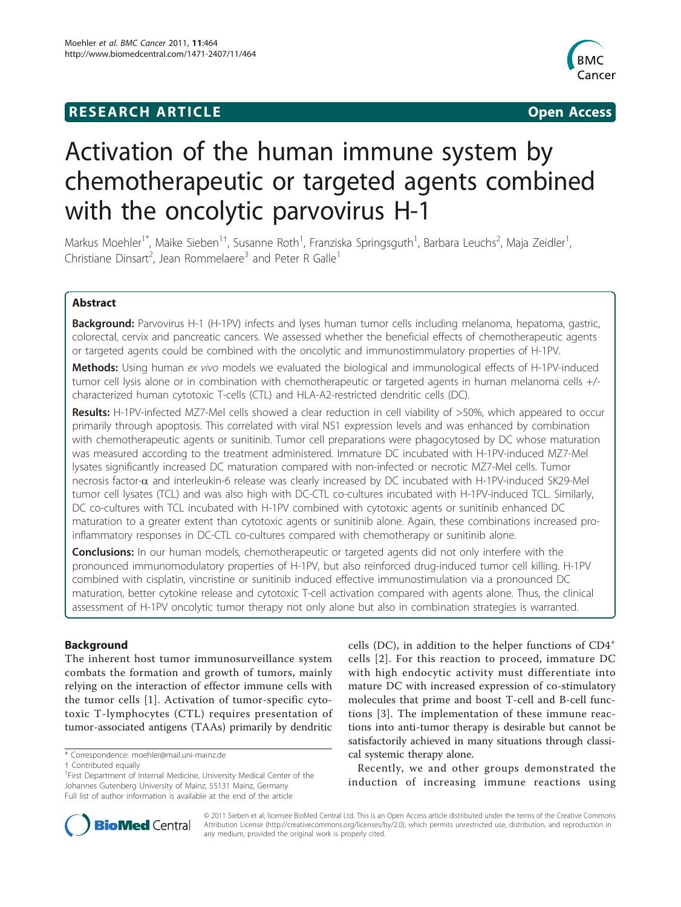## **RESEARCH ARTICLE Example 2018 CONSIDERING ACCESS**



# Activation of the human immune system by chemotherapeutic or targeted agents combined with the oncolytic parvovirus H-1

Markus Moehler<sup>1\*</sup>, Maike Sieben<sup>1†</sup>, Susanne Roth<sup>1</sup>, Franziska Springsguth<sup>1</sup>, Barbara Leuchs<sup>2</sup>, Maja Zeidler<sup>1</sup> , Christiane Dinsart<sup>2</sup>, Jean Rommelaere<sup>3</sup> and Peter R Galle<sup>1</sup>

## Abstract

Background: Parvovirus H-1 (H-1PV) infects and lyses human tumor cells including melanoma, hepatoma, gastric, colorectal, cervix and pancreatic cancers. We assessed whether the beneficial effects of chemotherapeutic agents or targeted agents could be combined with the oncolytic and immunostimmulatory properties of H-1PV.

**Methods:** Using human ex vivo models we evaluated the biological and immunological effects of H-1PV-induced tumor cell lysis alone or in combination with chemotherapeutic or targeted agents in human melanoma cells +/ characterized human cytotoxic T-cells (CTL) and HLA-A2-restricted dendritic cells (DC).

Results: H-1PV-infected MZ7-Mel cells showed a clear reduction in cell viability of >50%, which appeared to occur primarily through apoptosis. This correlated with viral NS1 expression levels and was enhanced by combination with chemotherapeutic agents or sunitinib. Tumor cell preparations were phagocytosed by DC whose maturation was measured according to the treatment administered. Immature DC incubated with H-1PV-induced MZ7-Mel lysates significantly increased DC maturation compared with non-infected or necrotic MZ7-Mel cells. Tumor necrosis factor-a and interleukin-6 release was clearly increased by DC incubated with H-1PV-induced SK29-Mel tumor cell lysates (TCL) and was also high with DC-CTL co-cultures incubated with H-1PV-induced TCL. Similarly, DC co-cultures with TCL incubated with H-1PV combined with cytotoxic agents or sunitinib enhanced DC maturation to a greater extent than cytotoxic agents or sunitinib alone. Again, these combinations increased proinflammatory responses in DC-CTL co-cultures compared with chemotherapy or sunitinib alone.

**Conclusions:** In our human models, chemotherapeutic or targeted agents did not only interfere with the pronounced immunomodulatory properties of H-1PV, but also reinforced drug-induced tumor cell killing. H-1PV combined with cisplatin, vincristine or sunitinib induced effective immunostimulation via a pronounced DC maturation, better cytokine release and cytotoxic T-cell activation compared with agents alone. Thus, the clinical assessment of H-1PV oncolytic tumor therapy not only alone but also in combination strategies is warranted.

## Background

The inherent host tumor immunosurveillance system combats the formation and growth of tumors, mainly relying on the interaction of effector immune cells with the tumor cells [\[1](#page-12-0)]. Activation of tumor-specific cytotoxic T-lymphocytes (CTL) requires presentation of tumor-associated antigens (TAAs) primarily by dendritic

\* Correspondence: [moehler@mail.uni-mainz.de](mailto:moehler@mail.uni-mainz.de)

cells (DC), in addition to the helper functions of  $CD4^+$ cells [\[2\]](#page-12-0). For this reaction to proceed, immature DC with high endocytic activity must differentiate into mature DC with increased expression of co-stimulatory molecules that prime and boost T-cell and B-cell functions [[3](#page-12-0)]. The implementation of these immune reactions into anti-tumor therapy is desirable but cannot be satisfactorily achieved in many situations through classical systemic therapy alone.

Recently, we and other groups demonstrated the induction of increasing immune reactions using



© 2011 Sieben et al; licensee BioMed Central Ltd. This is an Open Access article distributed under the terms of the Creative Commons Attribution License [\(http://creativecommons.org/licenses/by/2.0](http://creativecommons.org/licenses/by/2.0)), which permits unrestricted use, distribution, and reproduction in any medium, provided the original work is properly cited.

<sup>†</sup> Contributed equally <sup>1</sup>

<sup>&</sup>lt;sup>1</sup>First Department of Internal Medicine, University Medical Center of the Johannes Gutenberg University of Mainz, 55131 Mainz, Germany Full list of author information is available at the end of the article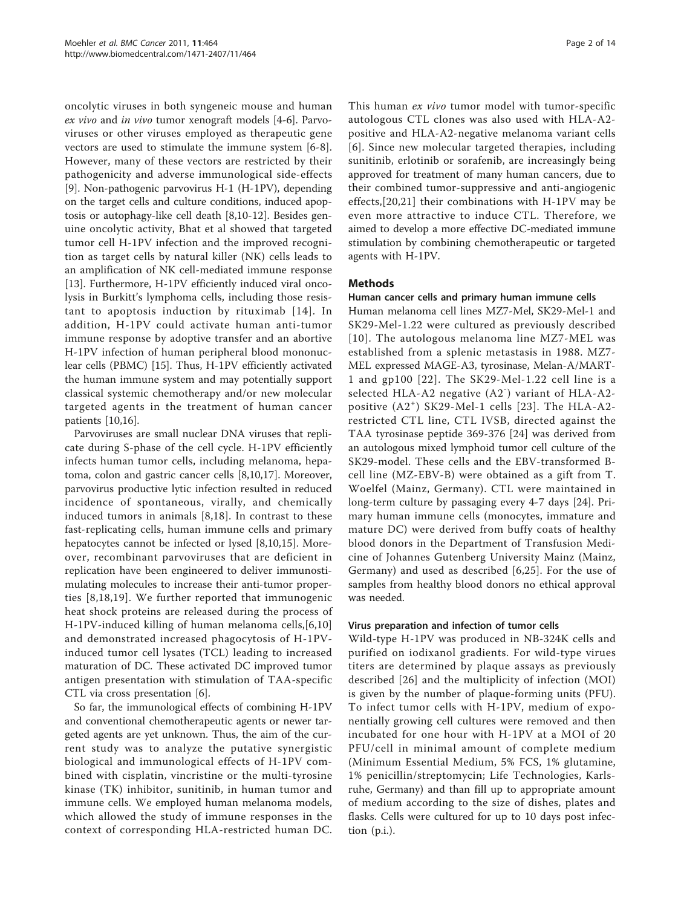oncolytic viruses in both syngeneic mouse and human ex vivo and in vivo tumor xenograft models [\[4-6](#page-12-0)]. Parvoviruses or other viruses employed as therapeutic gene vectors are used to stimulate the immune system [\[6](#page-12-0)-[8](#page-12-0)]. However, many of these vectors are restricted by their pathogenicity and adverse immunological side-effects [[9\]](#page-12-0). Non-pathogenic parvovirus H-1 (H-1PV), depending on the target cells and culture conditions, induced apoptosis or autophagy-like cell death [\[8,10](#page-12-0)-[12\]](#page-12-0). Besides genuine oncolytic activity, Bhat et al showed that targeted tumor cell H-1PV infection and the improved recognition as target cells by natural killer (NK) cells leads to an amplification of NK cell-mediated immune response [[13\]](#page-12-0). Furthermore, H-1PV efficiently induced viral oncolysis in Burkitt's lymphoma cells, including those resistant to apoptosis induction by rituximab [[14\]](#page-12-0). In addition, H-1PV could activate human anti-tumor immune response by adoptive transfer and an abortive H-1PV infection of human peripheral blood mononuclear cells (PBMC) [[15](#page-12-0)]. Thus, H-1PV efficiently activated the human immune system and may potentially support classical systemic chemotherapy and/or new molecular targeted agents in the treatment of human cancer patients [\[10,16\]](#page-12-0).

Parvoviruses are small nuclear DNA viruses that replicate during S-phase of the cell cycle. H-1PV efficiently infects human tumor cells, including melanoma, hepatoma, colon and gastric cancer cells [\[8,10,17\]](#page-12-0). Moreover, parvovirus productive lytic infection resulted in reduced incidence of spontaneous, virally, and chemically induced tumors in animals [[8](#page-12-0),[18\]](#page-12-0). In contrast to these fast-replicating cells, human immune cells and primary hepatocytes cannot be infected or lysed [[8,10,15\]](#page-12-0). Moreover, recombinant parvoviruses that are deficient in replication have been engineered to deliver immunostimulating molecules to increase their anti-tumor properties [[8,18](#page-12-0),[19](#page-12-0)]. We further reported that immunogenic heat shock proteins are released during the process of H-1PV-induced killing of human melanoma cells,[[6,10](#page-12-0)] and demonstrated increased phagocytosis of H-1PVinduced tumor cell lysates (TCL) leading to increased maturation of DC. These activated DC improved tumor antigen presentation with stimulation of TAA-specific CTL via cross presentation [[6\]](#page-12-0).

So far, the immunological effects of combining H-1PV and conventional chemotherapeutic agents or newer targeted agents are yet unknown. Thus, the aim of the current study was to analyze the putative synergistic biological and immunological effects of H-1PV combined with cisplatin, vincristine or the multi-tyrosine kinase (TK) inhibitor, sunitinib, in human tumor and immune cells. We employed human melanoma models, which allowed the study of immune responses in the context of corresponding HLA-restricted human DC. This human ex vivo tumor model with tumor-specific autologous CTL clones was also used with HLA-A2 positive and HLA-A2-negative melanoma variant cells [[6](#page-12-0)]. Since new molecular targeted therapies, including sunitinib, erlotinib or sorafenib, are increasingly being approved for treatment of many human cancers, due to their combined tumor-suppressive and anti-angiogenic effects,[[20,21\]](#page-12-0) their combinations with H-1PV may be even more attractive to induce CTL. Therefore, we aimed to develop a more effective DC-mediated immune stimulation by combining chemotherapeutic or targeted agents with H-1PV.

## Methods

#### Human cancer cells and primary human immune cells

Human melanoma cell lines MZ7-Mel, SK29-Mel-1 and SK29-Mel-1.22 were cultured as previously described [[10\]](#page-12-0). The autologous melanoma line MZ7-MEL was established from a splenic metastasis in 1988. MZ7- MEL expressed MAGE-A3, tyrosinase, Melan-A/MART-1 and gp100 [[22\]](#page-12-0). The SK29-Mel-1.22 cell line is a selected HLA-A2 negative (A2<sup>-</sup>) variant of HLA-A2-positive (A2<sup>+</sup>) SK29-Mel-1 cells [\[23](#page-12-0)]. The HLA-A2restricted CTL line, CTL IVSB, directed against the TAA tyrosinase peptide 369-376 [[24\]](#page-12-0) was derived from an autologous mixed lymphoid tumor cell culture of the SK29-model. These cells and the EBV-transformed Bcell line (MZ-EBV-B) were obtained as a gift from T. Woelfel (Mainz, Germany). CTL were maintained in long-term culture by passaging every 4-7 days [\[24](#page-12-0)]. Primary human immune cells (monocytes, immature and mature DC) were derived from buffy coats of healthy blood donors in the Department of Transfusion Medicine of Johannes Gutenberg University Mainz (Mainz, Germany) and used as described [\[6,25\]](#page-12-0). For the use of samples from healthy blood donors no ethical approval was needed.

#### Virus preparation and infection of tumor cells

Wild-type H-1PV was produced in NB-324K cells and purified on iodixanol gradients. For wild-type virues titers are determined by plaque assays as previously described [[26](#page-12-0)] and the multiplicity of infection (MOI) is given by the number of plaque-forming units (PFU). To infect tumor cells with H-1PV, medium of exponentially growing cell cultures were removed and then incubated for one hour with H-1PV at a MOI of 20 PFU/cell in minimal amount of complete medium (Minimum Essential Medium, 5% FCS, 1% glutamine, 1% penicillin/streptomycin; Life Technologies, Karlsruhe, Germany) and than fill up to appropriate amount of medium according to the size of dishes, plates and flasks. Cells were cultured for up to 10 days post infection (p.i.).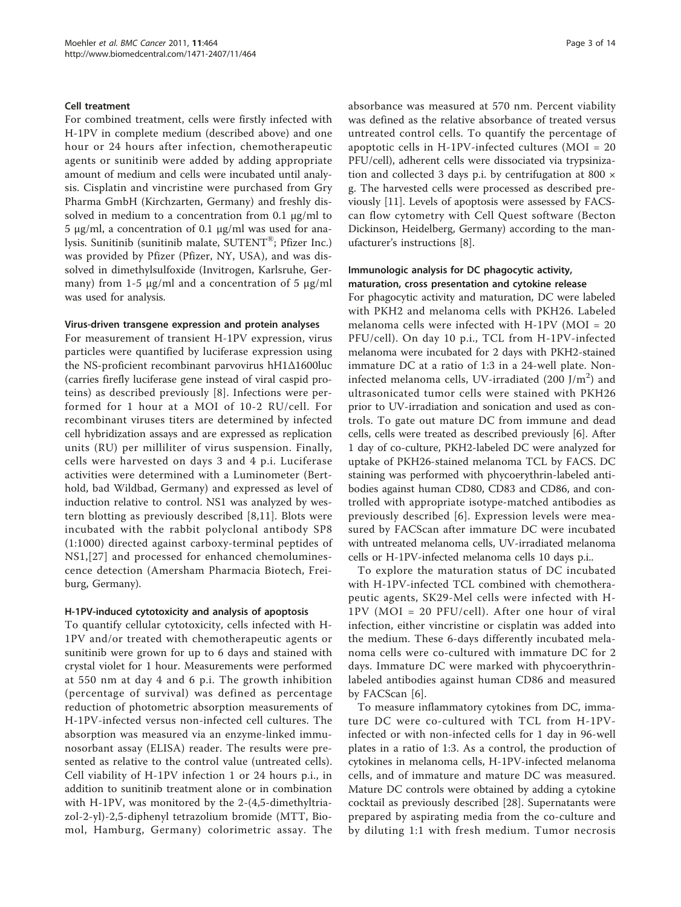#### Cell treatment

For combined treatment, cells were firstly infected with H-1PV in complete medium (described above) and one hour or 24 hours after infection, chemotherapeutic agents or sunitinib were added by adding appropriate amount of medium and cells were incubated until analysis. Cisplatin and vincristine were purchased from Gry Pharma GmbH (Kirchzarten, Germany) and freshly dissolved in medium to a concentration from 0.1  $\mu$ g/ml to 5 μg/ml, a concentration of 0.1 μg/ml was used for analysis. Sunitinib (sunitinib malate, SUTENT®; Pfizer Inc.) was provided by Pfizer (Pfizer, NY, USA), and was dissolved in dimethylsulfoxide (Invitrogen, Karlsruhe, Germany) from 1-5  $\mu$ g/ml and a concentration of 5  $\mu$ g/ml was used for analysis.

#### Virus-driven transgene expression and protein analyses

For measurement of transient H-1PV expression, virus particles were quantified by luciferase expression using the NS-proficient recombinant parvovirus hH1Δ1600luc (carries firefly luciferase gene instead of viral caspid proteins) as described previously [[8\]](#page-12-0). Infections were performed for 1 hour at a MOI of 10-2 RU/cell. For recombinant viruses titers are determined by infected cell hybridization assays and are expressed as replication units (RU) per milliliter of virus suspension. Finally, cells were harvested on days 3 and 4 p.i. Luciferase activities were determined with a Luminometer (Berthold, bad Wildbad, Germany) and expressed as level of induction relative to control. NS1 was analyzed by western blotting as previously described [\[8,11](#page-12-0)]. Blots were incubated with the rabbit polyclonal antibody SP8 (1:1000) directed against carboxy-terminal peptides of NS1,[[27](#page-12-0)] and processed for enhanced chemoluminescence detection (Amersham Pharmacia Biotech, Freiburg, Germany).

## H-1PV-induced cytotoxicity and analysis of apoptosis

To quantify cellular cytotoxicity, cells infected with H-1PV and/or treated with chemotherapeutic agents or sunitinib were grown for up to 6 days and stained with crystal violet for 1 hour. Measurements were performed at 550 nm at day 4 and 6 p.i. The growth inhibition (percentage of survival) was defined as percentage reduction of photometric absorption measurements of H-1PV-infected versus non-infected cell cultures. The absorption was measured via an enzyme-linked immunosorbant assay (ELISA) reader. The results were presented as relative to the control value (untreated cells). Cell viability of H-1PV infection 1 or 24 hours p.i., in addition to sunitinib treatment alone or in combination with H-1PV, was monitored by the 2-(4,5-dimethyltriazol-2-yl)-2,5-diphenyl tetrazolium bromide (MTT, Biomol, Hamburg, Germany) colorimetric assay. The absorbance was measured at 570 nm. Percent viability was defined as the relative absorbance of treated versus untreated control cells. To quantify the percentage of apoptotic cells in H-1PV-infected cultures (MOI = 20 PFU/cell), adherent cells were dissociated via trypsinization and collected 3 days p.i. by centrifugation at 800  $\times$ g. The harvested cells were processed as described previously [\[11](#page-12-0)]. Levels of apoptosis were assessed by FACScan flow cytometry with Cell Quest software (Becton Dickinson, Heidelberg, Germany) according to the manufacturer's instructions [\[8](#page-12-0)].

## Immunologic analysis for DC phagocytic activity, maturation, cross presentation and cytokine release

For phagocytic activity and maturation, DC were labeled with PKH2 and melanoma cells with PKH26. Labeled melanoma cells were infected with H-1PV (MOI = 20 PFU/cell). On day 10 p.i., TCL from H-1PV-infected melanoma were incubated for 2 days with PKH2-stained immature DC at a ratio of 1:3 in a 24-well plate. Noninfected melanoma cells, UV-irradiated (200  $J/m<sup>2</sup>$ ) and ultrasonicated tumor cells were stained with PKH26 prior to UV-irradiation and sonication and used as controls. To gate out mature DC from immune and dead cells, cells were treated as described previously [\[6](#page-12-0)]. After 1 day of co-culture, PKH2-labeled DC were analyzed for uptake of PKH26-stained melanoma TCL by FACS. DC staining was performed with phycoerythrin-labeled antibodies against human CD80, CD83 and CD86, and controlled with appropriate isotype-matched antibodies as previously described [[6\]](#page-12-0). Expression levels were measured by FACScan after immature DC were incubated with untreated melanoma cells, UV-irradiated melanoma cells or H-1PV-infected melanoma cells 10 days p.i..

To explore the maturation status of DC incubated with H-1PV-infected TCL combined with chemotherapeutic agents, SK29-Mel cells were infected with H-1PV (MOI = 20 PFU/cell). After one hour of viral infection, either vincristine or cisplatin was added into the medium. These 6-days differently incubated melanoma cells were co-cultured with immature DC for 2 days. Immature DC were marked with phycoerythrinlabeled antibodies against human CD86 and measured by FACScan [[6\]](#page-12-0).

To measure inflammatory cytokines from DC, immature DC were co-cultured with TCL from H-1PVinfected or with non-infected cells for 1 day in 96-well plates in a ratio of 1:3. As a control, the production of cytokines in melanoma cells, H-1PV-infected melanoma cells, and of immature and mature DC was measured. Mature DC controls were obtained by adding a cytokine cocktail as previously described [[28\]](#page-12-0). Supernatants were prepared by aspirating media from the co-culture and by diluting 1:1 with fresh medium. Tumor necrosis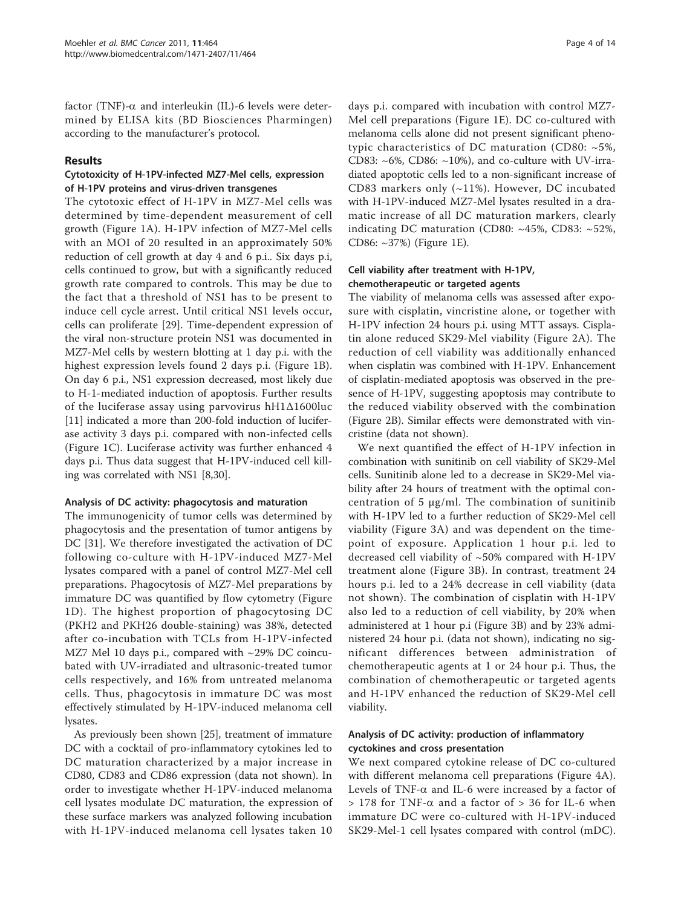factor (TNF)- $\alpha$  and interleukin (IL)-6 levels were determined by ELISA kits (BD Biosciences Pharmingen) according to the manufacturer's protocol.

## Results

## Cytotoxicity of H-1PV-infected MZ7-Mel cells, expression of H-1PV proteins and virus-driven transgenes

The cytotoxic effect of H-1PV in MZ7-Mel cells was determined by time-dependent measurement of cell growth (Figure [1A\)](#page-4-0). H-1PV infection of MZ7-Mel cells with an MOI of 20 resulted in an approximately 50% reduction of cell growth at day 4 and 6 p.i.. Six days p.i, cells continued to grow, but with a significantly reduced growth rate compared to controls. This may be due to the fact that a threshold of NS1 has to be present to induce cell cycle arrest. Until critical NS1 levels occur, cells can proliferate [[29\]](#page-12-0). Time-dependent expression of the viral non-structure protein NS1 was documented in MZ7-Mel cells by western blotting at 1 day p.i. with the highest expression levels found 2 days p.i. (Figure [1B](#page-4-0)). On day 6 p.i., NS1 expression decreased, most likely due to H-1-mediated induction of apoptosis. Further results of the luciferase assay using parvovirus hH1Δ1600luc [[11\]](#page-12-0) indicated a more than 200-fold induction of luciferase activity 3 days p.i. compared with non-infected cells (Figure [1C\)](#page-4-0). Luciferase activity was further enhanced 4 days p.i. Thus data suggest that H-1PV-induced cell killing was correlated with NS1 [[8](#page-12-0),[30](#page-12-0)].

#### Analysis of DC activity: phagocytosis and maturation

The immunogenicity of tumor cells was determined by phagocytosis and the presentation of tumor antigens by DC [\[31\]](#page-13-0). We therefore investigated the activation of DC following co-culture with H-1PV-induced MZ7-Mel lysates compared with a panel of control MZ7-Mel cell preparations. Phagocytosis of MZ7-Mel preparations by immature DC was quantified by flow cytometry (Figure [1D\)](#page-4-0). The highest proportion of phagocytosing DC (PKH2 and PKH26 double-staining) was 38%, detected after co-incubation with TCLs from H-1PV-infected MZ7 Mel 10 days p.i., compared with  $\sim$ 29% DC coincubated with UV-irradiated and ultrasonic-treated tumor cells respectively, and 16% from untreated melanoma cells. Thus, phagocytosis in immature DC was most effectively stimulated by H-1PV-induced melanoma cell lysates.

As previously been shown [\[25](#page-12-0)], treatment of immature DC with a cocktail of pro-inflammatory cytokines led to DC maturation characterized by a major increase in CD80, CD83 and CD86 expression (data not shown). In order to investigate whether H-1PV-induced melanoma cell lysates modulate DC maturation, the expression of these surface markers was analyzed following incubation with H-1PV-induced melanoma cell lysates taken 10

days p.i. compared with incubation with control MZ7- Mel cell preparations (Figure [1E](#page-4-0)). DC co-cultured with melanoma cells alone did not present significant phenotypic characteristics of DC maturation (CD80: ~5%, CD83: ~6%, CD86: ~10%), and co-culture with UV-irradiated apoptotic cells led to a non-significant increase of CD83 markers only (~11%). However, DC incubated with H-1PV-induced MZ7-Mel lysates resulted in a dramatic increase of all DC maturation markers, clearly indicating DC maturation (CD80: ~45%, CD83: ~52%, CD86: ~37%) (Figure [1E](#page-4-0)).

## Cell viability after treatment with H-1PV, chemotherapeutic or targeted agents

The viability of melanoma cells was assessed after exposure with cisplatin, vincristine alone, or together with H-1PV infection 24 hours p.i. using MTT assays. Cisplatin alone reduced SK29-Mel viability (Figure [2A\)](#page-5-0). The reduction of cell viability was additionally enhanced when cisplatin was combined with H-1PV. Enhancement of cisplatin-mediated apoptosis was observed in the presence of H-1PV, suggesting apoptosis may contribute to the reduced viability observed with the combination (Figure [2B\)](#page-5-0). Similar effects were demonstrated with vincristine (data not shown).

We next quantified the effect of H-1PV infection in combination with sunitinib on cell viability of SK29-Mel cells. Sunitinib alone led to a decrease in SK29-Mel viability after 24 hours of treatment with the optimal concentration of 5 μg/ml. The combination of sunitinib with H-1PV led to a further reduction of SK29-Mel cell viability (Figure [3A](#page-6-0)) and was dependent on the timepoint of exposure. Application 1 hour p.i. led to decreased cell viability of ~50% compared with H-1PV treatment alone (Figure [3B](#page-6-0)). In contrast, treatment 24 hours p.i. led to a 24% decrease in cell viability (data not shown). The combination of cisplatin with H-1PV also led to a reduction of cell viability, by 20% when administered at 1 hour p.i (Figure [3B\)](#page-6-0) and by 23% administered 24 hour p.i. (data not shown), indicating no significant differences between administration of chemotherapeutic agents at 1 or 24 hour p.i. Thus, the combination of chemotherapeutic or targeted agents and H-1PV enhanced the reduction of SK29-Mel cell viability.

## Analysis of DC activity: production of inflammatory cyctokines and cross presentation

We next compared cytokine release of DC co-cultured with different melanoma cell preparations (Figure [4A](#page-7-0)). Levels of TNF- $\alpha$  and IL-6 were increased by a factor of  $> 178$  for TNF- $\alpha$  and a factor of  $> 36$  for IL-6 when immature DC were co-cultured with H-1PV-induced SK29-Mel-1 cell lysates compared with control (mDC).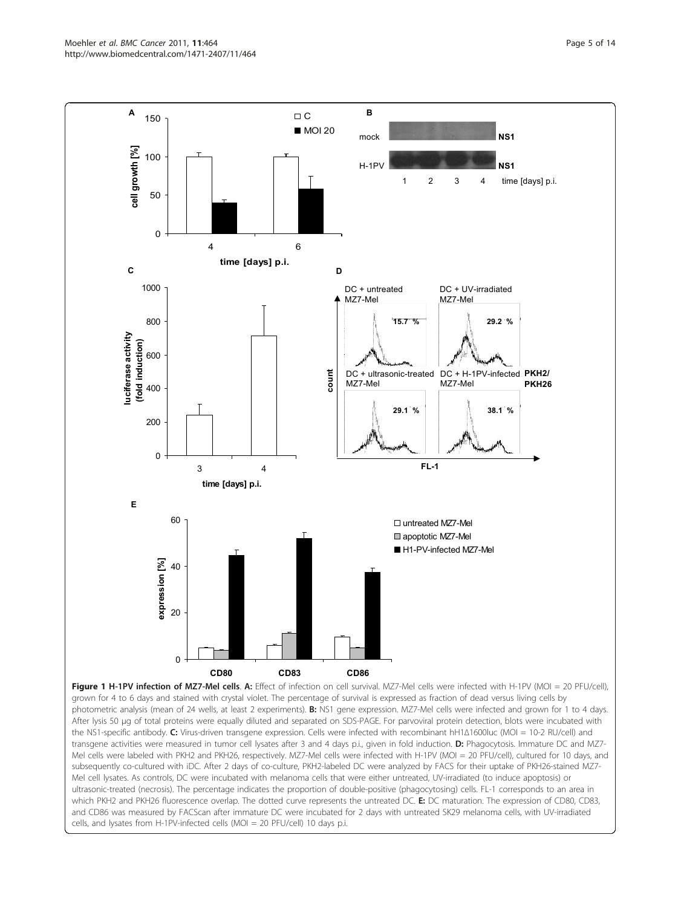<span id="page-4-0"></span>

photometric analysis (mean of 24 wells, at least 2 experiments). B: NS1 gene expression. MZ7-Mel cells were infected and grown for 1 to 4 days. After lysis 50 μg of total proteins were equally diluted and separated on SDS-PAGE. For parvoviral protein detection, blots were incubated with the NS1-specific antibody. C: Virus-driven transgene expression. Cells were infected with recombinant hH1Δ1600luc (MOI = 10-2 RU/cell) and transgene activities were measured in tumor cell lysates after 3 and 4 days p.i., given in fold induction. D: Phagocytosis. Immature DC and MZ7-Mel cells were labeled with PKH2 and PKH26, respectively. MZ7-Mel cells were infected with H-1PV (MOI = 20 PFU/cell), cultured for 10 days, and subsequently co-cultured with iDC. After 2 days of co-culture, PKH2-labeled DC were analyzed by FACS for their uptake of PKH26-stained MZ7- Mel cell lysates. As controls, DC were incubated with melanoma cells that were either untreated, UV-irradiated (to induce apoptosis) or ultrasonic-treated (necrosis). The percentage indicates the proportion of double-positive (phagocytosing) cells. FL-1 corresponds to an area in which PKH2 and PKH26 fluorescence overlap. The dotted curve represents the untreated DC. E: DC maturation. The expression of CD80, CD83, and CD86 was measured by FACScan after immature DC were incubated for 2 days with untreated SK29 melanoma cells, with UV-irradiated cells, and lysates from H-1PV-infected cells (MOI = 20 PFU/cell) 10 days p.i.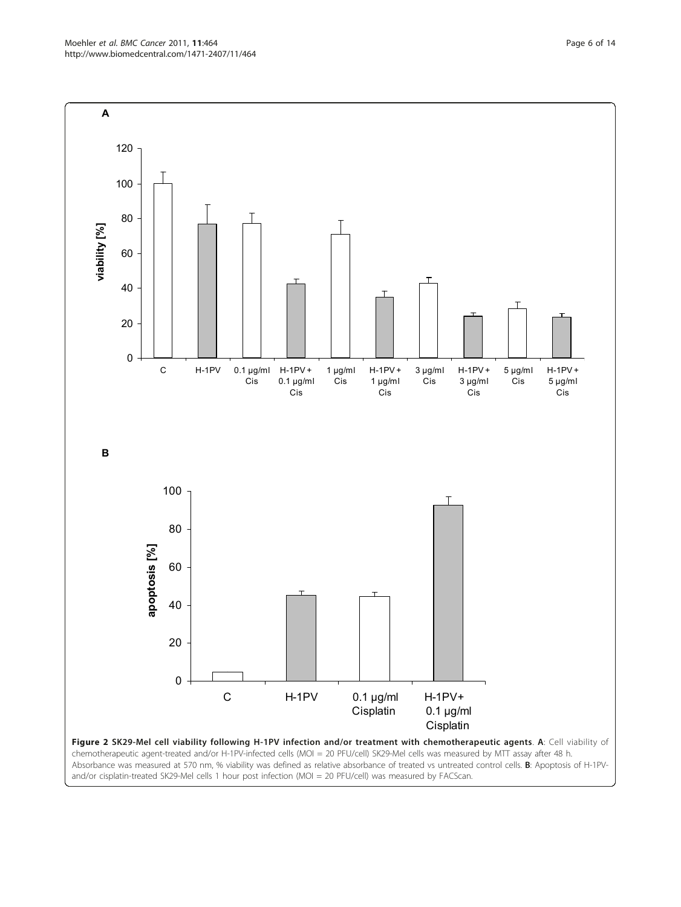<span id="page-5-0"></span>Moehler et al. BMC Cancer 2011, 11:464 http://www.biomedcentral.com/1471-2407/11/464

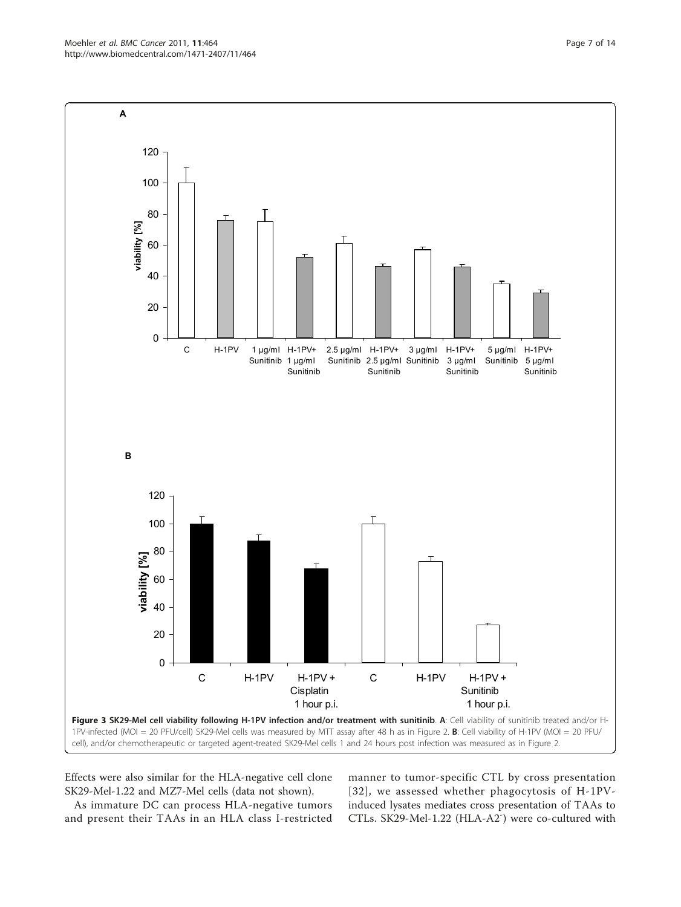Effects were also similar for the HLA-negative cell clone SK29-Mel-1.22 and MZ7-Mel cells (data not shown).

As immature DC can process HLA-negative tumors and present their TAAs in an HLA class I-restricted manner to tumor-specific CTL by cross presentation [[32](#page-13-0)], we assessed whether phagocytosis of H-1PVinduced lysates mediates cross presentation of TAAs to CTLs. SK29-Mel-1.22 (HLA-A2<sup>-</sup>) were co-cultured with

<span id="page-6-0"></span>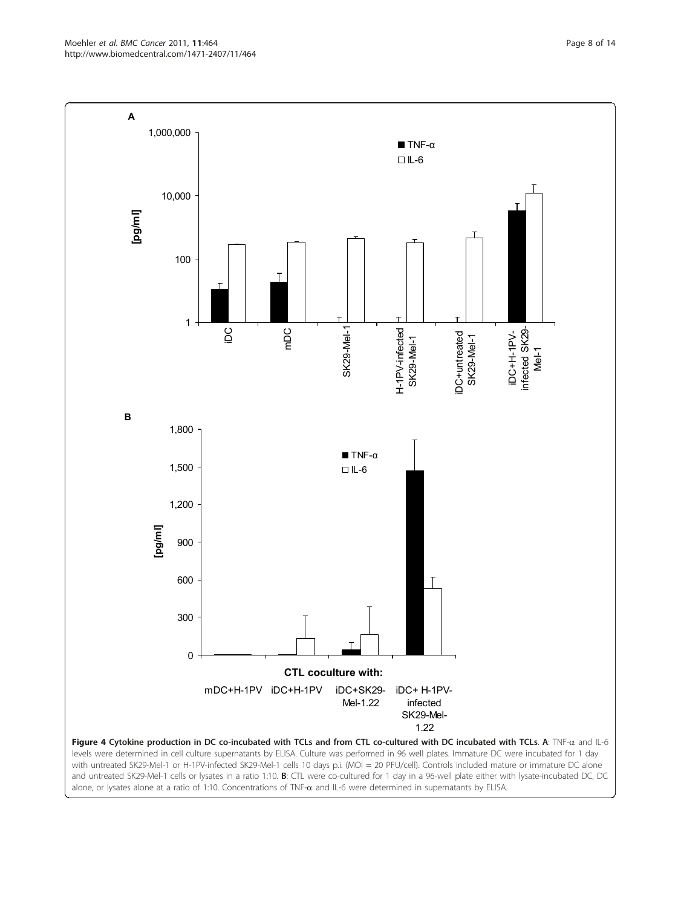Moehler et al. BMC Cancer 2011, 11:464 http://www.biomedcentral.com/1471-2407/11/464

<span id="page-7-0"></span>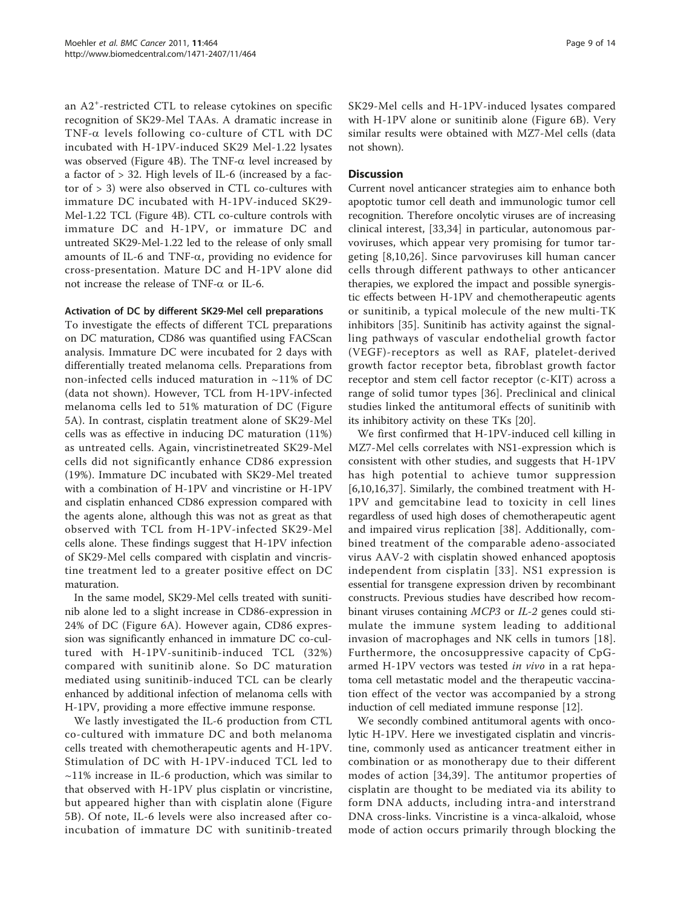an A2<sup>+</sup> -restricted CTL to release cytokines on specific recognition of SK29-Mel TAAs. A dramatic increase in TNF- $\alpha$  levels following co-culture of CTL with DC incubated with H-1PV-induced SK29 Mel-1.22 lysates was observed (Figure [4B](#page-7-0)). The TNF- $\alpha$  level increased by a factor of > 32. High levels of IL-6 (increased by a factor of > 3) were also observed in CTL co-cultures with immature DC incubated with H-1PV-induced SK29- Mel-1.22 TCL (Figure [4B\)](#page-7-0). CTL co-culture controls with immature DC and H-1PV, or immature DC and untreated SK29-Mel-1.22 led to the release of only small amounts of IL-6 and TNF- $\alpha$ , providing no evidence for cross-presentation. Mature DC and H-1PV alone did not increase the release of TNF- $\alpha$  or IL-6.

#### Activation of DC by different SK29-Mel cell preparations

To investigate the effects of different TCL preparations on DC maturation, CD86 was quantified using FACScan analysis. Immature DC were incubated for 2 days with differentially treated melanoma cells. Preparations from non-infected cells induced maturation in ~11% of DC (data not shown). However, TCL from H-1PV-infected melanoma cells led to 51% maturation of DC (Figure [5A\)](#page-9-0). In contrast, cisplatin treatment alone of SK29-Mel cells was as effective in inducing DC maturation (11%) as untreated cells. Again, vincristinetreated SK29-Mel cells did not significantly enhance CD86 expression (19%). Immature DC incubated with SK29-Mel treated with a combination of H-1PV and vincristine or H-1PV and cisplatin enhanced CD86 expression compared with the agents alone, although this was not as great as that observed with TCL from H-1PV-infected SK29-Mel cells alone. These findings suggest that H-1PV infection of SK29-Mel cells compared with cisplatin and vincristine treatment led to a greater positive effect on DC maturation.

In the same model, SK29-Mel cells treated with sunitinib alone led to a slight increase in CD86-expression in 24% of DC (Figure [6A\)](#page-10-0). However again, CD86 expression was significantly enhanced in immature DC co-cultured with H-1PV-sunitinib-induced TCL (32%) compared with sunitinib alone. So DC maturation mediated using sunitinib-induced TCL can be clearly enhanced by additional infection of melanoma cells with H-1PV, providing a more effective immune response.

We lastly investigated the IL-6 production from CTL co-cultured with immature DC and both melanoma cells treated with chemotherapeutic agents and H-1PV. Stimulation of DC with H-1PV-induced TCL led to  $~11\%$  increase in IL-6 production, which was similar to that observed with H-1PV plus cisplatin or vincristine, but appeared higher than with cisplatin alone (Figure [5B\)](#page-9-0). Of note, IL-6 levels were also increased after coincubation of immature DC with sunitinib-treated SK29-Mel cells and H-1PV-induced lysates compared with H-1PV alone or sunitinib alone (Figure [6B\)](#page-10-0). Very similar results were obtained with MZ7-Mel cells (data not shown).

#### Discussion

Current novel anticancer strategies aim to enhance both apoptotic tumor cell death and immunologic tumor cell recognition. Therefore oncolytic viruses are of increasing clinical interest, [[33,34\]](#page-13-0) in particular, autonomous parvoviruses, which appear very promising for tumor targeting [[8,10,26](#page-12-0)]. Since parvoviruses kill human cancer cells through different pathways to other anticancer therapies, we explored the impact and possible synergistic effects between H-1PV and chemotherapeutic agents or sunitinib, a typical molecule of the new multi-TK inhibitors [[35\]](#page-13-0). Sunitinib has activity against the signalling pathways of vascular endothelial growth factor (VEGF)-receptors as well as RAF, platelet-derived growth factor receptor beta, fibroblast growth factor receptor and stem cell factor receptor (c-KIT) across a range of solid tumor types [[36\]](#page-13-0). Preclinical and clinical studies linked the antitumoral effects of sunitinib with its inhibitory activity on these TKs [[20](#page-12-0)].

We first confirmed that H-1PV-induced cell killing in MZ7-Mel cells correlates with NS1-expression which is consistent with other studies, and suggests that H-1PV has high potential to achieve tumor suppression [[6,10,16](#page-12-0),[37\]](#page-13-0). Similarly, the combined treatment with H-1PV and gemcitabine lead to toxicity in cell lines regardless of used high doses of chemotherapeutic agent and impaired virus replication [\[38](#page-13-0)]. Additionally, combined treatment of the comparable adeno-associated virus AAV-2 with cisplatin showed enhanced apoptosis independent from cisplatin [[33\]](#page-13-0). NS1 expression is essential for transgene expression driven by recombinant constructs. Previous studies have described how recombinant viruses containing MCP3 or IL-2 genes could stimulate the immune system leading to additional invasion of macrophages and NK cells in tumors [[18](#page-12-0)]. Furthermore, the oncosuppressive capacity of CpGarmed H-1PV vectors was tested in vivo in a rat hepatoma cell metastatic model and the therapeutic vaccination effect of the vector was accompanied by a strong induction of cell mediated immune response [[12\]](#page-12-0).

We secondly combined antitumoral agents with oncolytic H-1PV. Here we investigated cisplatin and vincristine, commonly used as anticancer treatment either in combination or as monotherapy due to their different modes of action [\[34,39](#page-13-0)]. The antitumor properties of cisplatin are thought to be mediated via its ability to form DNA adducts, including intra-and interstrand DNA cross-links. Vincristine is a vinca-alkaloid, whose mode of action occurs primarily through blocking the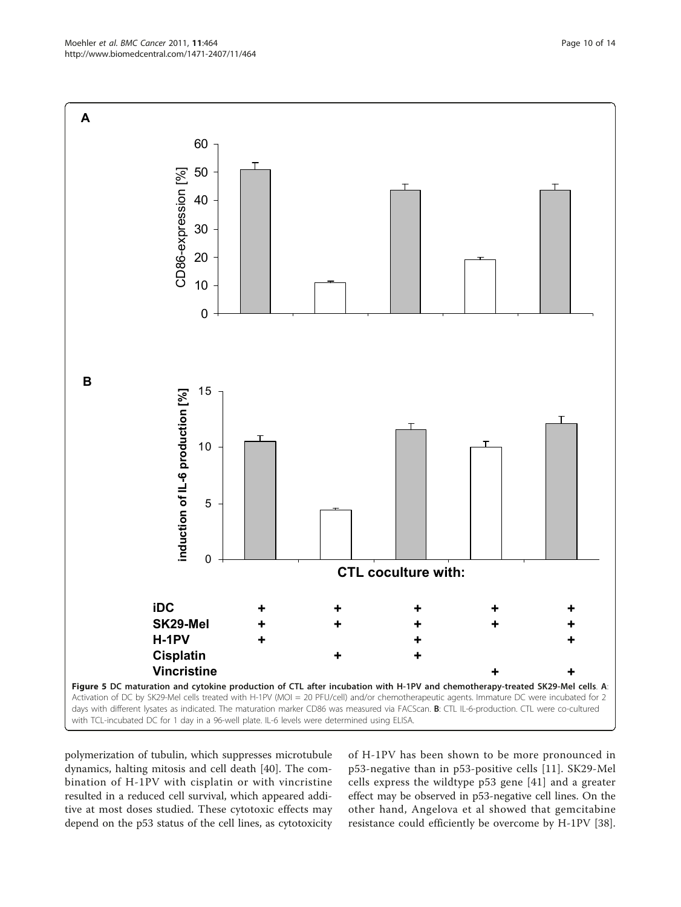<span id="page-9-0"></span>

polymerization of tubulin, which suppresses microtubule dynamics, halting mitosis and cell death [[40\]](#page-13-0). The combination of H-1PV with cisplatin or with vincristine resulted in a reduced cell survival, which appeared additive at most doses studied. These cytotoxic effects may depend on the p53 status of the cell lines, as cytotoxicity of H-1PV has been shown to be more pronounced in p53-negative than in p53-positive cells [[11](#page-12-0)]. SK29-Mel cells express the wildtype p53 gene [\[41\]](#page-13-0) and a greater effect may be observed in p53-negative cell lines. On the other hand, Angelova et al showed that gemcitabine resistance could efficiently be overcome by H-1PV [\[38](#page-13-0)].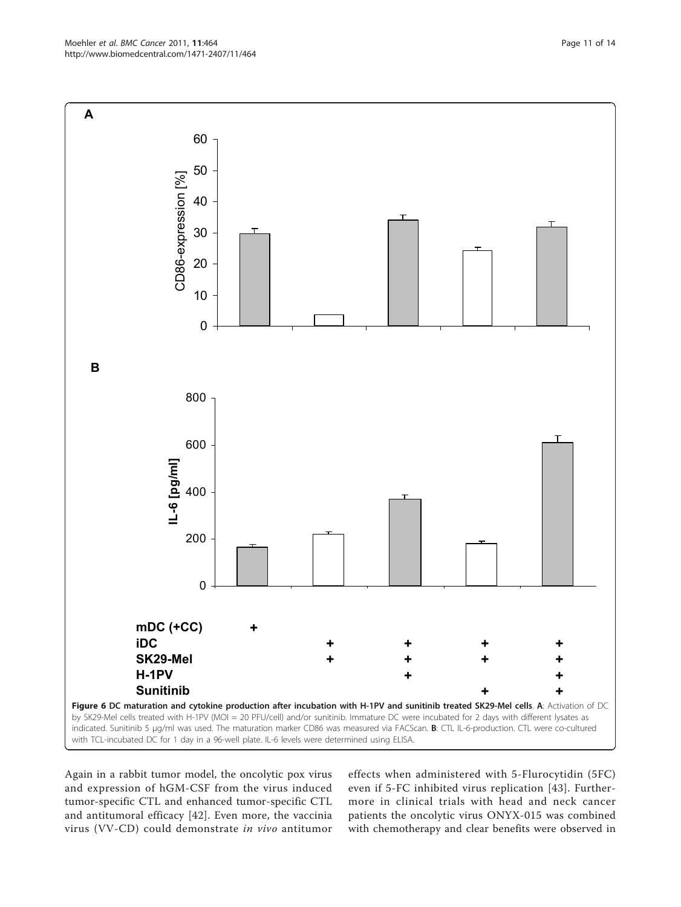Again in a rabbit tumor model, the oncolytic pox virus and expression of hGM-CSF from the virus induced tumor-specific CTL and enhanced tumor-specific CTL and antitumoral efficacy [[42](#page-13-0)]. Even more, the vaccinia virus (VV-CD) could demonstrate in vivo antitumor

effects when administered with 5-Flurocytidin (5FC) even if 5-FC inhibited virus replication [[43](#page-13-0)]. Furthermore in clinical trials with head and neck cancer patients the oncolytic virus ONYX-015 was combined with chemotherapy and clear benefits were observed in

<span id="page-10-0"></span>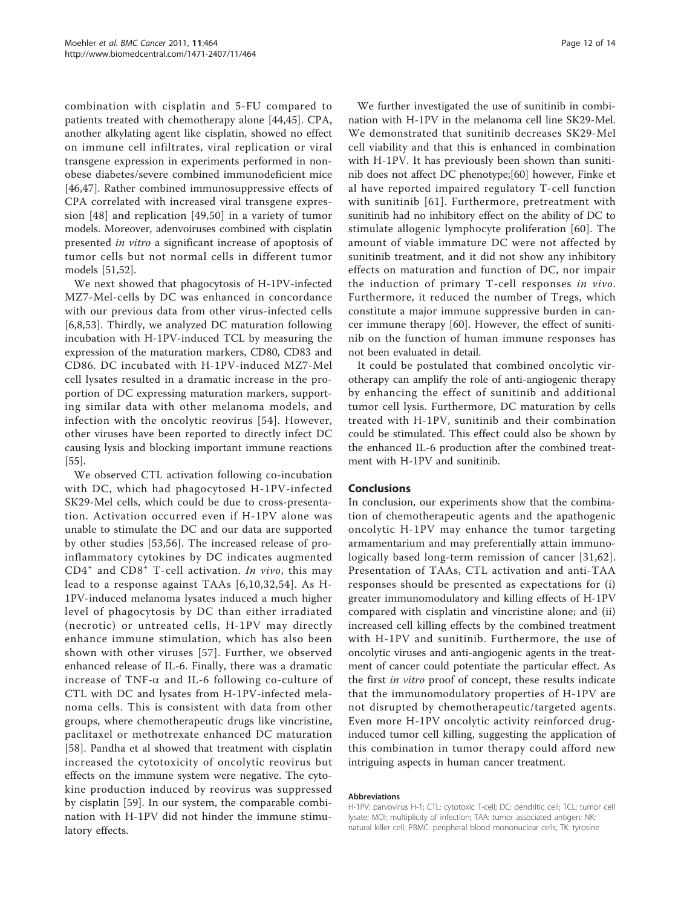combination with cisplatin and 5-FU compared to patients treated with chemotherapy alone [[44,45](#page-13-0)]. CPA, another alkylating agent like cisplatin, showed no effect on immune cell infiltrates, viral replication or viral transgene expression in experiments performed in nonobese diabetes/severe combined immunodeficient mice [[46,47](#page-13-0)]. Rather combined immunosuppressive effects of CPA correlated with increased viral transgene expression [\[48\]](#page-13-0) and replication [\[49,50](#page-13-0)] in a variety of tumor models. Moreover, adenvoiruses combined with cisplatin presented in vitro a significant increase of apoptosis of tumor cells but not normal cells in different tumor models [\[51,52\]](#page-13-0).

We next showed that phagocytosis of H-1PV-infected MZ7-Mel-cells by DC was enhanced in concordance with our previous data from other virus-infected cells [[6,8](#page-12-0),[53\]](#page-13-0). Thirdly, we analyzed DC maturation following incubation with H-1PV-induced TCL by measuring the expression of the maturation markers, CD80, CD83 and CD86. DC incubated with H-1PV-induced MZ7-Mel cell lysates resulted in a dramatic increase in the proportion of DC expressing maturation markers, supporting similar data with other melanoma models, and infection with the oncolytic reovirus [[54](#page-13-0)]. However, other viruses have been reported to directly infect DC causing lysis and blocking important immune reactions [[55\]](#page-13-0).

We observed CTL activation following co-incubation with DC, which had phagocytosed H-1PV-infected SK29-Mel cells, which could be due to cross-presentation. Activation occurred even if H-1PV alone was unable to stimulate the DC and our data are supported by other studies [[53,56](#page-13-0)]. The increased release of proinflammatory cytokines by DC indicates augmented  $CD4<sup>+</sup>$  and  $CD8<sup>+</sup>$  T-cell activation. In vivo, this may lead to a response against TAAs [[6,10,](#page-12-0)[32](#page-13-0),[54](#page-13-0)]. As H-1PV-induced melanoma lysates induced a much higher level of phagocytosis by DC than either irradiated (necrotic) or untreated cells, H-1PV may directly enhance immune stimulation, which has also been shown with other viruses [[57](#page-13-0)]. Further, we observed enhanced release of IL-6. Finally, there was a dramatic increase of TNF- $\alpha$  and IL-6 following co-culture of CTL with DC and lysates from H-1PV-infected melanoma cells. This is consistent with data from other groups, where chemotherapeutic drugs like vincristine, paclitaxel or methotrexate enhanced DC maturation [[58\]](#page-13-0). Pandha et al showed that treatment with cisplatin increased the cytotoxicity of oncolytic reovirus but effects on the immune system were negative. The cytokine production induced by reovirus was suppressed by cisplatin [[59\]](#page-13-0). In our system, the comparable combination with H-1PV did not hinder the immune stimulatory effects.

We further investigated the use of sunitinib in combination with H-1PV in the melanoma cell line SK29-Mel. We demonstrated that sunitinib decreases SK29-Mel cell viability and that this is enhanced in combination with H-1PV. It has previously been shown than sunitinib does not affect DC phenotype;[[60](#page-13-0)] however, Finke et al have reported impaired regulatory T-cell function with sunitinib [[61](#page-13-0)]. Furthermore, pretreatment with sunitinib had no inhibitory effect on the ability of DC to stimulate allogenic lymphocyte proliferation [\[60\]](#page-13-0). The amount of viable immature DC were not affected by sunitinib treatment, and it did not show any inhibitory effects on maturation and function of DC, nor impair the induction of primary T-cell responses in vivo. Furthermore, it reduced the number of Tregs, which constitute a major immune suppressive burden in cancer immune therapy [\[60](#page-13-0)]. However, the effect of sunitinib on the function of human immune responses has not been evaluated in detail.

It could be postulated that combined oncolytic virotherapy can amplify the role of anti-angiogenic therapy by enhancing the effect of sunitinib and additional tumor cell lysis. Furthermore, DC maturation by cells treated with H-1PV, sunitinib and their combination could be stimulated. This effect could also be shown by the enhanced IL-6 production after the combined treatment with H-1PV and sunitinib.

#### Conclusions

In conclusion, our experiments show that the combination of chemotherapeutic agents and the apathogenic oncolytic H-1PV may enhance the tumor targeting armamentarium and may preferentially attain immunologically based long-term remission of cancer [[31](#page-13-0),[62](#page-13-0)]. Presentation of TAAs, CTL activation and anti-TAA responses should be presented as expectations for (i) greater immunomodulatory and killing effects of H-1PV compared with cisplatin and vincristine alone; and (ii) increased cell killing effects by the combined treatment with H-1PV and sunitinib. Furthermore, the use of oncolytic viruses and anti-angiogenic agents in the treatment of cancer could potentiate the particular effect. As the first in vitro proof of concept, these results indicate that the immunomodulatory properties of H-1PV are not disrupted by chemotherapeutic/targeted agents. Even more H-1PV oncolytic activity reinforced druginduced tumor cell killing, suggesting the application of this combination in tumor therapy could afford new intriguing aspects in human cancer treatment.

#### Abbreviations

H-1PV: parvovirus H-1; CTL: cytotoxic T-cell; DC: dendritic cell; TCL: tumor cell lysate; MOI: multiplicity of infection; TAA: tumor associated antigen; NK: natural killer cell; PBMC: peripheral blood mononuclear cells; TK: tyrosine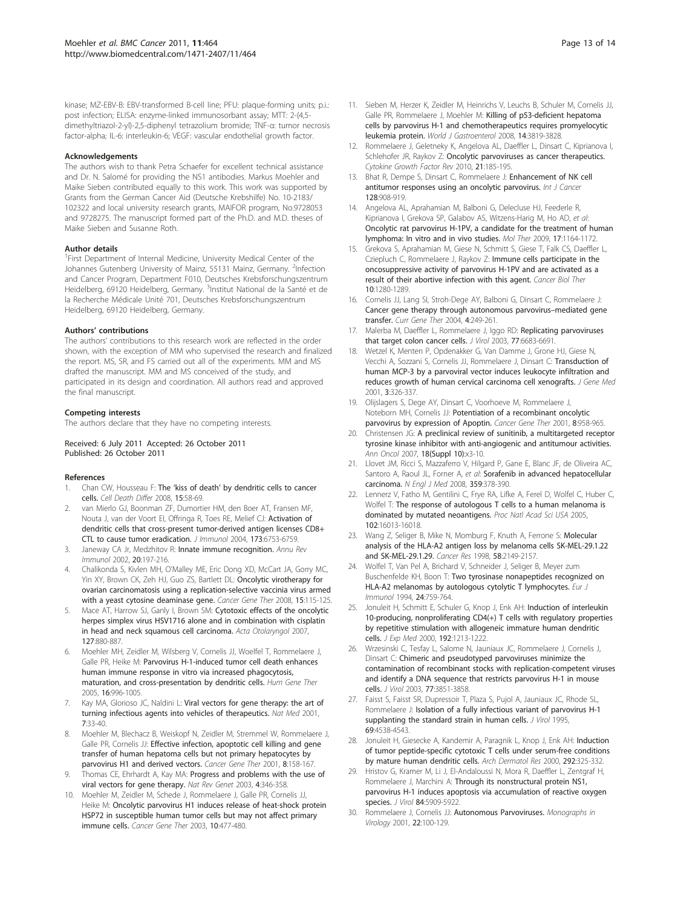<span id="page-12-0"></span>kinase; MZ-EBV-B: EBV-transformed B-cell line; PFU: plaque-forming units; p.i.: post infection; ELISA: enzyme-linked immunosorbant assay; MTT: 2-(4,5 dimethyltriazol-2-yl)-2,5-diphenyl tetrazolium bromide; TNF-α: tumor necrosis factor-alpha; IL-6: interleukin-6; VEGF: vascular endothelial growth factor.

#### Acknowledgements

The authors wish to thank Petra Schaefer for excellent technical assistance and Dr. N. Salomé for providing the NS1 antibodies. Markus Moehler and Maike Sieben contributed equally to this work. This work was supported by Grants from the German Cancer Aid (Deutsche Krebshilfe) No. 10-2183/ 102322 and local university research grants, MAIFOR program, No.9728053 and 9728275. The manuscript formed part of the Ph.D. and M.D. theses of Maike Sieben and Susanne Roth.

#### Author details

<sup>1</sup>First Department of Internal Medicine, University Medical Center of the Johannes Gutenberg University of Mainz, 55131 Mainz, Germany. <sup>2</sup>Infection and Cancer Program, Department F010, Deutsches Krebsforschungszentrum Heidelberg, 69120 Heidelberg, Germany. <sup>3</sup>Institut National de la Santé et de la Recherche Médicale Unité 701, Deutsches Krebsforschungszentrum Heidelberg, 69120 Heidelberg, Germany.

#### Authors' contributions

The authors' contributions to this research work are reflected in the order shown, with the exception of MM who supervised the research and finalized the report. MS, SR, and FS carried out all of the experiments. MM and MS drafted the manuscript. MM and MS conceived of the study, and participated in its design and coordination. All authors read and approved the final manuscript.

#### Competing interests

The authors declare that they have no competing interests.

#### Received: 6 July 2011 Accepted: 26 October 2011 Published: 26 October 2011

#### References

- 1. Chan CW, Housseau F: The 'kiss of death' [by dendritic cells to cancer](http://www.ncbi.nlm.nih.gov/pubmed/17948029?dopt=Abstract) [cells.](http://www.ncbi.nlm.nih.gov/pubmed/17948029?dopt=Abstract) Cell Death Differ 2008, 15:58-69.
- 2. van Mierlo GJ, Boonman ZF, Dumortier HM, den Boer AT, Fransen MF, Nouta J, van der Voort EI, Offringa R, Toes RE, Melief CJ: [Activation of](http://www.ncbi.nlm.nih.gov/pubmed/15557168?dopt=Abstract) [dendritic cells that cross-present tumor-derived antigen licenses CD8+](http://www.ncbi.nlm.nih.gov/pubmed/15557168?dopt=Abstract) [CTL to cause tumor eradication.](http://www.ncbi.nlm.nih.gov/pubmed/15557168?dopt=Abstract) J Immunol 2004, 173:6753-6759.
- Janeway CA Jr, Medzhitov R: [Innate immune recognition.](http://www.ncbi.nlm.nih.gov/pubmed/11861602?dopt=Abstract) Annu Rev Immunol 2002, 20:197-216.
- 4. Chalikonda S, Kivlen MH, O'Malley ME, Eric Dong XD, McCart JA, Gorry MC, Yin XY, Brown CK, Zeh HJ, Guo ZS, Bartlett DL: [Oncolytic virotherapy for](http://www.ncbi.nlm.nih.gov/pubmed/18084242?dopt=Abstract) [ovarian carcinomatosis using a replication-selective vaccinia virus armed](http://www.ncbi.nlm.nih.gov/pubmed/18084242?dopt=Abstract) [with a yeast cytosine deaminase gene.](http://www.ncbi.nlm.nih.gov/pubmed/18084242?dopt=Abstract) Cancer Gene Ther 2008, 15:115-125.
- Mace AT, Harrow SJ, Ganly I, Brown SM: [Cytotoxic effects of the oncolytic](http://www.ncbi.nlm.nih.gov/pubmed/17763002?dopt=Abstract) [herpes simplex virus HSV1716 alone and in combination with cisplatin](http://www.ncbi.nlm.nih.gov/pubmed/17763002?dopt=Abstract) [in head and neck squamous cell carcinoma.](http://www.ncbi.nlm.nih.gov/pubmed/17763002?dopt=Abstract) Acta Otolaryngol 2007, 127:880-887.
- 6. Moehler MH, Zeidler M, Wilsberg V, Cornelis JJ, Woelfel T, Rommelaere J, Galle PR, Heike M: [Parvovirus H-1-induced tumor cell death enhances](http://www.ncbi.nlm.nih.gov/pubmed/16076257?dopt=Abstract) [human immune response in vitro via increased phagocytosis,](http://www.ncbi.nlm.nih.gov/pubmed/16076257?dopt=Abstract) [maturation, and cross-presentation by dendritic cells.](http://www.ncbi.nlm.nih.gov/pubmed/16076257?dopt=Abstract) Hum Gene Ther 2005, 16:996-1005.
- 7. Kay MA, Glorioso JC, Naldini L: [Viral vectors for gene therapy: the art of](http://www.ncbi.nlm.nih.gov/pubmed/11135613?dopt=Abstract) [turning infectious agents into vehicles of therapeutics.](http://www.ncbi.nlm.nih.gov/pubmed/11135613?dopt=Abstract) Nat Med 2001, 7:33-40.
- 8. Moehler M, Blechacz B, Weiskopf N, Zeidler M, Stremmel W, Rommelaere J, Galle PR, Cornelis JJ: [Effective infection, apoptotic cell killing and gene](http://www.ncbi.nlm.nih.gov/pubmed/11332986?dopt=Abstract) [transfer of human hepatoma cells but not primary hepatocytes by](http://www.ncbi.nlm.nih.gov/pubmed/11332986?dopt=Abstract) [parvovirus H1 and derived vectors.](http://www.ncbi.nlm.nih.gov/pubmed/11332986?dopt=Abstract) Cancer Gene Ther 2001, 8:158-167.
- 9. Thomas CE, Ehrhardt A, Kay MA: [Progress and problems with the use of](http://www.ncbi.nlm.nih.gov/pubmed/12728277?dopt=Abstract) [viral vectors for gene therapy.](http://www.ncbi.nlm.nih.gov/pubmed/12728277?dopt=Abstract) Nat Rev Genet 2003, 4:346-358.
- 10. Moehler M, Zeidler M, Schede J, Rommelaere J, Galle PR, Cornelis JJ, Heike M: [Oncolytic parvovirus H1 induces release of heat-shock protein](http://www.ncbi.nlm.nih.gov/pubmed/12768193?dopt=Abstract) [HSP72 in susceptible human tumor cells but may not affect primary](http://www.ncbi.nlm.nih.gov/pubmed/12768193?dopt=Abstract) [immune cells.](http://www.ncbi.nlm.nih.gov/pubmed/12768193?dopt=Abstract) Cancer Gene Ther 2003, 10:477-480.
- 11. Sieben M, Herzer K, Zeidler M, Heinrichs V, Leuchs B, Schuler M, Cornelis JJ, Galle PR, Rommelaere J, Moehler M: [Killing of p53-deficient hepatoma](http://www.ncbi.nlm.nih.gov/pubmed/18609705?dopt=Abstract) [cells by parvovirus H-1 and chemotherapeutics requires promyelocytic](http://www.ncbi.nlm.nih.gov/pubmed/18609705?dopt=Abstract) [leukemia protein.](http://www.ncbi.nlm.nih.gov/pubmed/18609705?dopt=Abstract) World J Gastroenterol 2008, 14:3819-3828.
- 12. Rommelaere J, Geletneky K, Angelova AL, Daeffler L, Dinsart C, Kiprianova I, Schlehofer JR, Raykov Z: [Oncolytic parvoviruses as cancer therapeutics.](http://www.ncbi.nlm.nih.gov/pubmed/20211577?dopt=Abstract) Cytokine Growth Factor Rev 2010, 21:185-195.
- 13. Bhat R, Dempe S, Dinsart C, Rommelaere J: Enhancement of NK cell antitumor responses using an oncolytic parvovirus. Int J Cancer 128:908-919.
- 14. Angelova AL, Aprahamian M, Balboni G, Delecluse HJ, Feederle R, Kiprianova I, Grekova SP, Galabov AS, Witzens-Harig M, Ho AD, et al: [Oncolytic rat parvovirus H-1PV, a candidate for the treatment of human](http://www.ncbi.nlm.nih.gov/pubmed/19367260?dopt=Abstract) [lymphoma: In vitro and in vivo studies.](http://www.ncbi.nlm.nih.gov/pubmed/19367260?dopt=Abstract) Mol Ther 2009, 17:1164-1172.
- 15. Grekova S, Aprahamian M, Giese N, Schmitt S, Giese T, Falk CS, Daeffler L, Cziepluch C, Rommelaere J, Raykov Z: Immune cells participate in the oncosuppressive activity of parvovirus H-1PV and are activated as a result of their abortive infection with this agent. Cancer Biol Ther 10:1280-1289.
- 16. Cornelis JJ, Lang SI, Stroh-Dege AY, Balboni G, Dinsart C, Rommelaere J: [Cancer gene therapy through autonomous parvovirus](http://www.ncbi.nlm.nih.gov/pubmed/15384939?dopt=Abstract)–mediated gene [transfer.](http://www.ncbi.nlm.nih.gov/pubmed/15384939?dopt=Abstract) Curr Gene Ther 2004, 4:249-261.
- 17. Malerba M, Daeffler L, Rommelaere J, Iggo RD: [Replicating parvoviruses](http://www.ncbi.nlm.nih.gov/pubmed/12767988?dopt=Abstract) [that target colon cancer cells.](http://www.ncbi.nlm.nih.gov/pubmed/12767988?dopt=Abstract) J Virol 2003, 77:6683-6691.
- 18. Wetzel K, Menten P, Opdenakker G, Van Damme J, Grone HJ, Giese N, Vecchi A, Sozzani S, Cornelis JJ, Rommelaere J, Dinsart C: [Transduction of](http://www.ncbi.nlm.nih.gov/pubmed/11529662?dopt=Abstract) [human MCP-3 by a parvoviral vector induces leukocyte infiltration and](http://www.ncbi.nlm.nih.gov/pubmed/11529662?dopt=Abstract) [reduces growth of human cervical carcinoma cell xenografts.](http://www.ncbi.nlm.nih.gov/pubmed/11529662?dopt=Abstract) J Gene Med 2001, 3:326-337.
- 19. Olijslagers S, Dege AY, Dinsart C, Voorhoeve M, Rommelaere J, Noteborn MH, Cornelis JJ: [Potentiation of a recombinant oncolytic](http://www.ncbi.nlm.nih.gov/pubmed/11781658?dopt=Abstract) [parvovirus by expression of Apoptin.](http://www.ncbi.nlm.nih.gov/pubmed/11781658?dopt=Abstract) Cancer Gene Ther 2001, 8:958-965.
- 20. Christensen JG: [A preclinical review of sunitinib, a multitargeted receptor](http://www.ncbi.nlm.nih.gov/pubmed/17761721?dopt=Abstract) [tyrosine kinase inhibitor with anti-angiogenic and antitumour activities.](http://www.ncbi.nlm.nih.gov/pubmed/17761721?dopt=Abstract) Ann Oncol 2007, 18(Suppl 10):x3-10.
- 21. Llovet JM, Ricci S, Mazzaferro V, Hilgard P, Gane E, Blanc JF, de Oliveira AC, Santoro A, Raoul JL, Forner A, et al: [Sorafenib in advanced hepatocellular](http://www.ncbi.nlm.nih.gov/pubmed/18650514?dopt=Abstract) [carcinoma.](http://www.ncbi.nlm.nih.gov/pubmed/18650514?dopt=Abstract) N Engl J Med 2008, 359:378-390.
- 22. Lennerz V, Fatho M, Gentilini C, Frye RA, Lifke A, Ferel D, Wolfel C, Huber C, Wolfel T: [The response of autologous T cells to a human melanoma is](http://www.ncbi.nlm.nih.gov/pubmed/16247014?dopt=Abstract) [dominated by mutated neoantigens.](http://www.ncbi.nlm.nih.gov/pubmed/16247014?dopt=Abstract) Proc Natl Acad Sci USA 2005, 102:16013-16018.
- 23. Wang Z, Seliger B, Mike N, Momburg F, Knuth A, Ferrone S: [Molecular](http://www.ncbi.nlm.nih.gov/pubmed/9605759?dopt=Abstract) [analysis of the HLA-A2 antigen loss by melanoma cells SK-MEL-29.1.22](http://www.ncbi.nlm.nih.gov/pubmed/9605759?dopt=Abstract) [and SK-MEL-29.1.29.](http://www.ncbi.nlm.nih.gov/pubmed/9605759?dopt=Abstract) Cancer Res 1998, 58:2149-2157.
- 24. Wolfel T, Van Pel A, Brichard V, Schneider J, Seliger B, Meyer zum Buschenfelde KH, Boon T: [Two tyrosinase nonapeptides recognized on](http://www.ncbi.nlm.nih.gov/pubmed/8125142?dopt=Abstract) [HLA-A2 melanomas by autologous cytolytic T lymphocytes.](http://www.ncbi.nlm.nih.gov/pubmed/8125142?dopt=Abstract) Eur J Immunol 1994, 24:759-764.
- 25. Jonuleit H, Schmitt E, Schuler G, Knop J, Enk AH: [Induction of interleukin](http://www.ncbi.nlm.nih.gov/pubmed/11067871?dopt=Abstract) [10-producing, nonproliferating CD4\(+\) T cells with regulatory properties](http://www.ncbi.nlm.nih.gov/pubmed/11067871?dopt=Abstract) [by repetitive stimulation with allogeneic immature human dendritic](http://www.ncbi.nlm.nih.gov/pubmed/11067871?dopt=Abstract) [cells.](http://www.ncbi.nlm.nih.gov/pubmed/11067871?dopt=Abstract) *J Exp Med 2000*, 192:1213-1222.
- 26. Wrzesinski C, Tesfay L, Salome N, Jauniaux JC, Rommelaere J, Cornelis J, Dinsart C: [Chimeric and pseudotyped parvoviruses minimize the](http://www.ncbi.nlm.nih.gov/pubmed/12610161?dopt=Abstract) [contamination of recombinant stocks with replication-competent viruses](http://www.ncbi.nlm.nih.gov/pubmed/12610161?dopt=Abstract) [and identify a DNA sequence that restricts parvovirus H-1 in mouse](http://www.ncbi.nlm.nih.gov/pubmed/12610161?dopt=Abstract) [cells.](http://www.ncbi.nlm.nih.gov/pubmed/12610161?dopt=Abstract) J Virol 2003, 77:3851-3858.
- 27. Faisst S, Faisst SR, Dupressoir T, Plaza S, Pujol A, Jauniaux JC, Rhode SL, Rommelaere J: [Isolation of a fully infectious variant of parvovirus H-1](http://www.ncbi.nlm.nih.gov/pubmed/7769719?dopt=Abstract) [supplanting the standard strain in human cells.](http://www.ncbi.nlm.nih.gov/pubmed/7769719?dopt=Abstract) J Virol 1995, 69:4538-4543.
- 28. Jonuleit H, Giesecke A, Kandemir A, Paragnik L, Knop J, Enk AH: [Induction](http://www.ncbi.nlm.nih.gov/pubmed/10966056?dopt=Abstract) [of tumor peptide-specific cytotoxic T cells under serum-free conditions](http://www.ncbi.nlm.nih.gov/pubmed/10966056?dopt=Abstract) [by mature human dendritic cells.](http://www.ncbi.nlm.nih.gov/pubmed/10966056?dopt=Abstract) Arch Dermatol Res 2000, 292:325-332.
- 29. Hristov G, Kramer M, Li J, El-Andaloussi N, Mora R, Daeffler L, Zentgraf H, Rommelaere J, Marchini A: Through its nonstructural protein NS1, parvovirus H-1 induces apoptosis via accumulation of reactive oxygen species. *J Virol* 84:5909-5922.
- 30. Rommelaere J, Cornelis JJ: Autonomous Parvoviruses. Monographs in Virology 2001, 22:100-129.